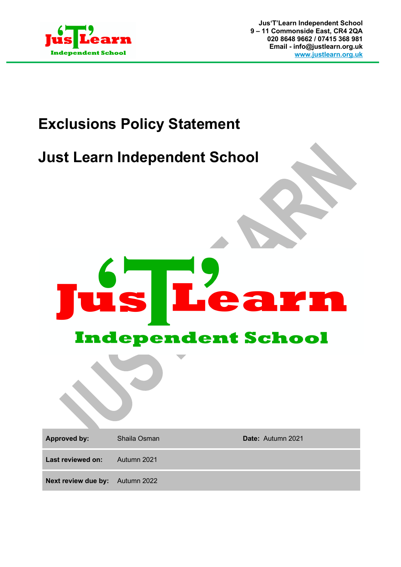

## **Exclusions Policy Statement**

## **Just Learn Independent School**



**Approved by:** Shaila Osman **Date:** Autumn 2021 **Last reviewed on:** Autumn 2021 **Next review due by:** Autumn 2022